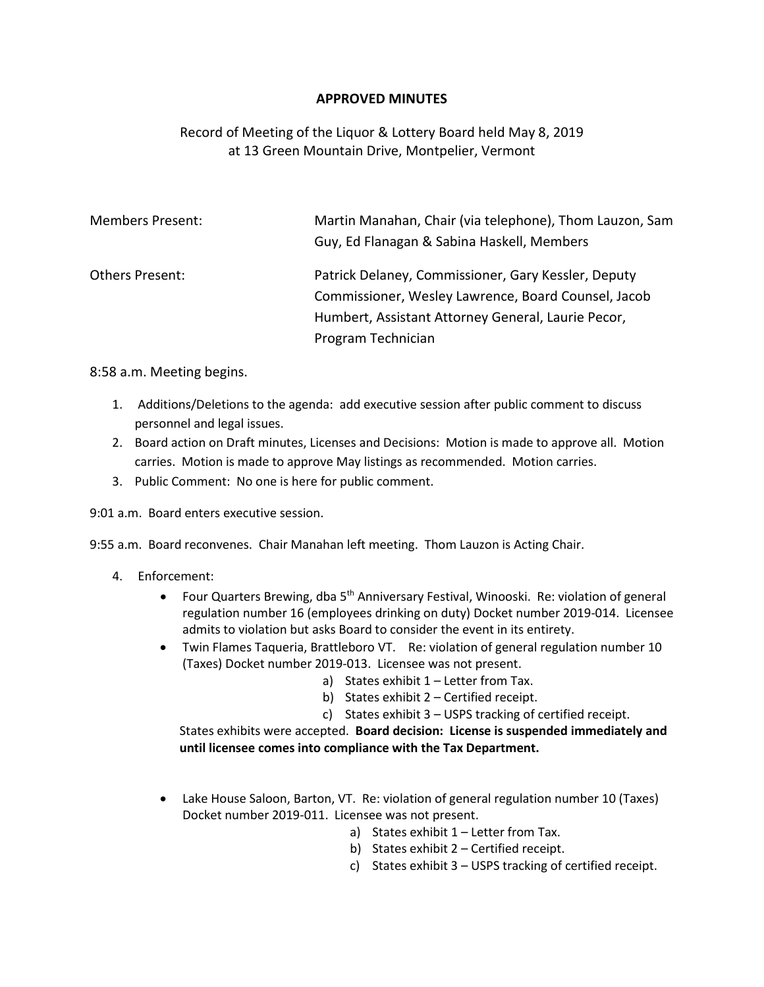## **APPROVED MINUTES**

## Record of Meeting of the Liquor & Lottery Board held May 8, 2019 at 13 Green Mountain Drive, Montpelier, Vermont

| <b>Members Present:</b> | Martin Manahan, Chair (via telephone), Thom Lauzon, Sam<br>Guy, Ed Flanagan & Sabina Haskell, Members      |
|-------------------------|------------------------------------------------------------------------------------------------------------|
| Others Present:         | Patrick Delaney, Commissioner, Gary Kessler, Deputy<br>Commissioner, Wesley Lawrence, Board Counsel, Jacob |
|                         | Humbert, Assistant Attorney General, Laurie Pecor,                                                         |
|                         | Program Technician                                                                                         |

8:58 a.m. Meeting begins.

- 1. Additions/Deletions to the agenda: add executive session after public comment to discuss personnel and legal issues.
- 2. Board action on Draft minutes, Licenses and Decisions: Motion is made to approve all. Motion carries. Motion is made to approve May listings as recommended. Motion carries.
- 3. Public Comment: No one is here for public comment.

9:01 a.m. Board enters executive session.

9:55 a.m. Board reconvenes. Chair Manahan left meeting. Thom Lauzon is Acting Chair.

- 4. Enforcement:
	- Four Quarters Brewing, dba 5<sup>th</sup> Anniversary Festival, Winooski. Re: violation of general regulation number 16 (employees drinking on duty) Docket number 2019-014. Licensee admits to violation but asks Board to consider the event in its entirety.
	- Twin Flames Taqueria, Brattleboro VT. Re: violation of general regulation number 10 (Taxes) Docket number 2019-013. Licensee was not present.
		- a) States exhibit 1 Letter from Tax.
		- b) States exhibit 2 Certified receipt.
		- c) States exhibit 3 USPS tracking of certified receipt.

States exhibits were accepted. **Board decision: License is suspended immediately and until licensee comes into compliance with the Tax Department.**

- Lake House Saloon, Barton, VT. Re: violation of general regulation number 10 (Taxes) Docket number 2019-011. Licensee was not present.
	- a) States exhibit 1 Letter from Tax.
	- b) States exhibit 2 Certified receipt.
	- c) States exhibit 3 USPS tracking of certified receipt.